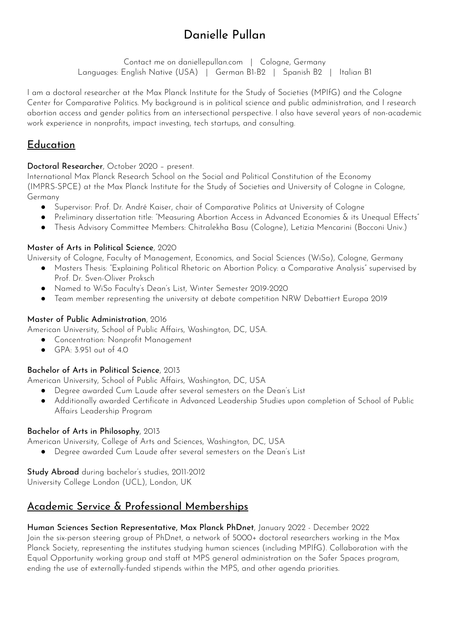# Danielle Pullan

Contact me on daniellepullan.com | Cologne, Germany Languages: English Native (USA) | German B1-B2 | Spanish B2 | Italian B1

I am a doctoral researcher at the Max Planck Institute for the Study of Societies (MPIfG) and the Cologne Center for Comparative Politics. My background is in political science and public administration, and I research abortion access and gender politics from an intersectional perspective. I also have several years of non-academic work experience in nonprofits, impact investing, tech startups, and consulting.

# **Education**

### Doctoral Researcher, October 2020 – present.

International Max Planck Research School on the Social and Political Constitution of the Economy (IMPRS-SPCE) at the Max Planck Institute for the Study of Societies and University of Cologne in Cologne, Germany

- Supervisor: Prof. Dr. André Kaiser, chair of Comparative Politics at University of Cologne
- Preliminary dissertation title: "Measuring Abortion Access in Advanced Economies & its Unequal Effects"
- Thesis Advisory Committee Members: Chitralekha Basu (Cologne), Letizia Mencarini (Bocconi Univ.)

### Master of Arts in Political Science, 2020

University of Cologne, Faculty of Management, Economics, and Social Sciences (WiSo), Cologne, Germany

- Masters Thesis: "Explaining Political Rhetoric on Abortion Policy: a Comparative Analysis" supervised by Prof. Dr. Sven-Oliver Proksch
- Named to WiSo Faculty's Dean's List, Winter Semester 2019-2020
- Team member representing the university at debate competition NRW Debattiert Europa 2019

#### Master of Public Administration, 2016

American University, School of Public Affairs, Washington, DC, USA.

- Concentration: Nonprofit Management
- GPA: 3.951 out of 4.0

### Bachelor of Arts in Political Science, 2013

American University, School of Public Affairs, Washington, DC, USA

- Degree awarded Cum Laude after several semesters on the Dean's List
- Additionally awarded Certificate in Advanced Leadership Studies upon completion of School of Public Affairs Leadership Program

#### Bachelor of Arts in Philosophy, 2013

American University, College of Arts and Sciences, Washington, DC, USA

● Degree awarded Cum Laude after several semesters on the Dean's List

#### Study Abroad during bachelor's studies, 2011-2012

University College London (UCL), London, UK

## Academic Service & Professional Memberships

#### Human Sciences Section Representative, Max Planck PhDnet, January 2022 - December 2022

Join the six-person steering group of PhDnet, a network of 5000+ doctoral researchers working in the Max Planck Society, representing the institutes studying human sciences (including MPIfG). Collaboration with the Equal Opportunity working group and staff at MPS general administration on the Safer Spaces program, ending the use of externally-funded stipends within the MPS, and other agenda priorities.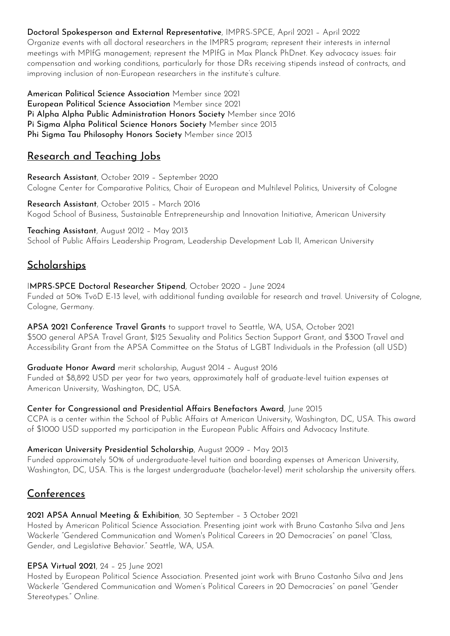Doctoral Spokesperson and External Representative, IMPRS-SPCE, April 2021 – April 2022

Organize events with all doctoral researchers in the IMPRS program; represent their interests in internal meetings with MPIfG management; represent the MPIfG in Max Planck PhDnet. Key advocacy issues: fair compensation and working conditions, particularly for those DRs receiving stipends instead of contracts, and improving inclusion of non-European researchers in the institute's culture.

American Political Science Association Member since 2021 European Political Science Association Member since 2021 Pi Alpha Alpha Public Administration Honors Society Member since 2016 Pi Sigma Alpha Political Science Honors Society Member since 2013 Phi Sigma Tau Philosophy Honors Society Member since 2013

## Research and Teaching Jobs

Research Assistant, October 2019 – September 2020 Cologne Center for Comparative Politics, Chair of European and Multilevel Politics, University of Cologne

Research Assistant, October 2015 – March 2016 Kogod School of Business, Sustainable Entrepreneurship and Innovation Initiative, American University

Teaching Assistant, August 2012 – May 2013 School of Public Affairs Leadership Program, Leadership Development Lab II, American University

## **Scholarships**

IMPRS-SPCE Doctoral Researcher Stipend, October 2020 – June 2024 Funded at 50% TvöD E-13 level, with additional funding available for research and travel. University of Cologne, Cologne, Germany.

APSA 2021 Conference Travel Grants to support travel to Seattle, WA, USA, October 2021 \$500 general APSA Travel Grant, \$125 Sexuality and Politics Section Support Grant, and \$300 Travel and Accessibility Grant from the APSA Committee on the Status of LGBT Individuals in the Profession (all USD)

### Graduate Honor Award merit scholarship, August 2014 – August 2016

Funded at \$8,892 USD per year for two years, approximately half of graduate-level tuition expenses at American University, Washington, DC, USA.

#### Center for Congressional and Presidential Affairs Benefactors Award, June 2015

CCPA is a center within the School of Public Affairs at American University, Washington, DC, USA. This award of \$1000 USD supported my participation in the European Public Affairs and Advocacy Institute.

#### American University Presidential Scholarship, August 2009 – May 2013

Funded approximately 50% of undergraduate-level tuition and boarding expenses at American University, Washington, DC, USA. This is the largest undergraduate (bachelor-level) merit scholarship the university offers.

## Conferences

#### 2021 APSA Annual Meeting & Exhibition, 30 September – 3 October 2021

Hosted by American Political Science Association. Presenting joint work with Bruno Castanho Silva and Jens Wäckerle "Gendered Communication and Women's Political Careers in 20 Democracies" on panel "Class, Gender, and Legislative Behavior." Seattle, WA, USA.

#### EPSA Virtual 2021, 24 – 25 June 2021

Hosted by European Political Science Association. Presented joint work with Bruno Castanho Silva and Jens Wäckerle "Gendered Communication and Women's Political Careers in 20 Democracies" on panel "Gender Stereotypes." Online.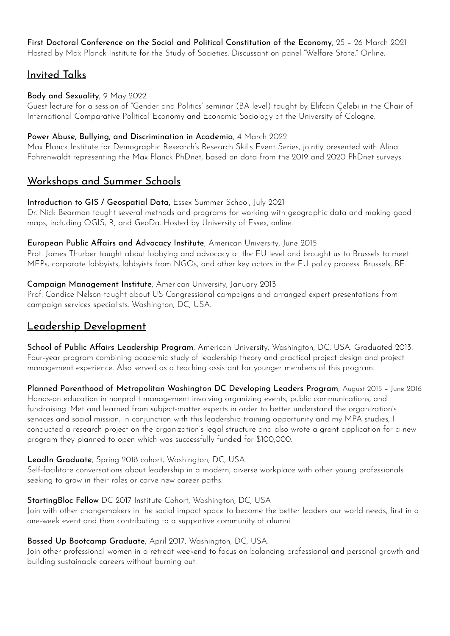#### First Doctoral Conference on the Social and Political Constitution of the Economy, 25 – 26 March 2021 Hosted by Max Planck Institute for the Study of Societies. Discussant on panel "Welfare State." Online.

## Invited Talks

#### Body and Sexuality, 9 May 2022

Guest lecture for a session of "Gender and Politics" seminar (BA level) taught by Elifcan Çelebi in the Chair of International Comparative Political Economy and Economic Sociology at the University of Cologne.

#### Power Abuse, Bullying, and Discrimination in Academia, 4 March 2022

Max Planck Institute for Demographic Research's Research Skills Event Series, jointly presented with Alina Fahrenwaldt representing the Max Planck PhDnet, based on data from the 2019 and 2020 PhDnet surveys.

## Workshops and Summer Schools

#### Introduction to GIS / Geospatial Data, Essex Summer School, July 2021

Dr. Nick Bearman taught several methods and programs for working with geographic data and making good maps, including QGIS, R, and GeoDa. Hosted by University of Essex, online.

#### European Public Affairs and Advocacy Institute, American University, June 2015

Prof. James Thurber taught about lobbying and advocacy at the EU level and brought us to Brussels to meet MEPs, corporate lobbyists, lobbyists from NGOs, and other key actors in the EU policy process. Brussels, BE.

#### Campaign Management Institute, American University, January 2013

Prof. Candice Nelson taught about US Congressional campaigns and arranged expert presentations from campaign services specialists. Washington, DC, USA.

## Leadership Development

School of Public Affairs Leadership Program, American University, Washington, DC, USA. Graduated 2013. Four-year program combining academic study of leadership theory and practical project design and project management experience. Also served as a teaching assistant for younger members of this program.

Planned Parenthood of Metropolitan Washington DC Developing Leaders Program, August 2015 – June 2016 Hands-on education in nonprofit management involving organizing events, public communications, and fundraising. Met and learned from subject-matter experts in order to better understand the organization's services and social mission. In conjunction with this leadership training opportunity and my MPA studies, I conducted a research project on the organization's legal structure and also wrote a grant application for a new program they planned to open which was successfully funded for \$100,000.

#### LeadIn Graduate, Spring 2018 cohort, Washington, DC, USA

Self-facilitate conversations about leadership in a modern, diverse workplace with other young professionals seeking to grow in their roles or carve new career paths.

### StartingBloc Fellow DC 2017 Institute Cohort, Washington, DC, USA

Join with other changemakers in the social impact space to become the better leaders our world needs, first in a one-week event and then contributing to a supportive community of alumni.

### Bossed Up Bootcamp Graduate, April 2017, Washington, DC, USA.

Join other professional women in a retreat weekend to focus on balancing professional and personal growth and building sustainable careers without burning out.